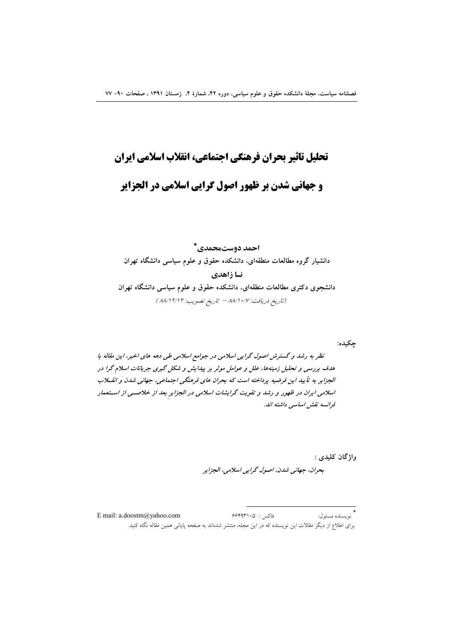# تحليل تاثير بحران فرهنكي اجتماعي، انقلاب اسلامي ايران

# **و جهانی شدن بر ظهور اصول گرایی اسلامی در الجزایر**

احمد دوستمحمدي\* دانشیار گروه مطالعات منطقهای، دانشکده حقوق و علوم سیاسی دانشگاه تهران نسا زاهدي دانشجوی دکتری مطالعات منطقهای، دانشکده حقوق و علوم سیاسی دانشگاه تهران (تاريخ دريافت: ١٠/٧/٨/١- تاريخ تصويب: ١٢/١٢/١٢)

چکیده:

نظر به رشد و گسترش اصول گرایی اسلامی در جوامع اسلامی طی دهه های اخیر، این مقاله با هدف بررسی و تحلیل زمینهها، علل و عوامل موثر بر پیدایش و شکل گیری جریانات اسلام گرا در الجزایر به تأیید این فرضیه پرداخته است که بحران های فرهنگی اجتماعی، جهانی شدن و انقلاب اسلامی ایران در ظهور و رشد و تقویت گرایشات اسلامی در الجزایر بعد از خلاصتی از استعمار فرانسه نقش اساسی داشته اند.

> واژگان کليدي : بحران، جهاني شدن، اصول گرايي اسلامي، الجزاير

فاكس: ۶۶۴۹۳۱۰۵ \*<br>``نو ىسندە مسئو ل: E mail: a.doostm@yahoo.com برای اطلاع از دیگر مقالات این نویسنده که در این مجله، منتشر شدهاند به صفحه پایانی همین مقاله نگاه کنید.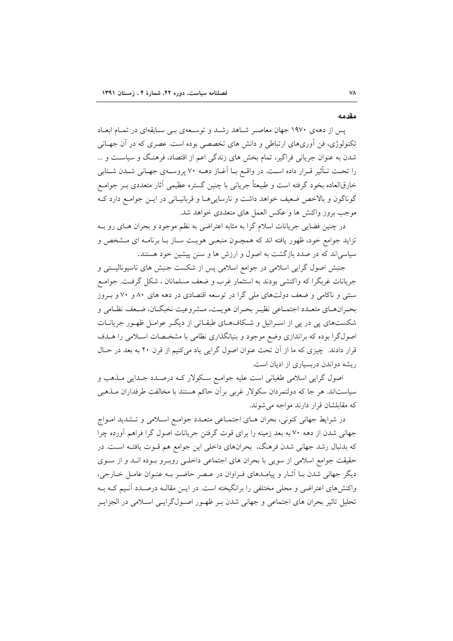مقدمه

یس از دههی ۱۹۷۰ جهان معاصر شاهد رشد و توسعهی بـی سـابقهای در تمـام ابعـاد تکنولوژی، فن اَوریهای ارتباطی و دانش های تخصصی بوده است. عصری که در اَن جهـانی شدن به عنوان جریانی فراگیر، تمام بخش های زندگی اعم از اقتصاد، فرهنگ و سیاسـت و … را تحت تـأثير قـرار داده اسـت. در واقـع بـا آغـاز دهــه ٧٠ پروســهي جهـاني شــدن شـتابي خارقالعاده بخود گرفته است و طبیعتاً جریانی با چنین گستره عظیمی آثار متعددی بــر جوامــع گوناگون و بالاخص ضعیف خواهد داشت و نارسایی هـا و قربانیـانی در ایــن جوامــع دارد کــه موجب بروز واكنش ها و عكس العمل هاي متعددي خواهد شد.

در چنین فضایی جریانات اسلام گرا به مثابه اعتراضی به نظم موجود و بحران هـای رو بـه تزاید جوامع خود، ظهور یافته اند که همچـون منبعـی هویـت سـاز بـا برنامـه ای مـشخص و سیاسی اند که در صدد بازگشت به اصول و ارزش ها و سنن پیشین خود هستند.

جنبش اصول گرایی اسلامی در جوامع اسلامی پس از شکست جنبش های ناسیونالیستی و جریانات غربگرا که واکنشی بودند به استثمار غرب و ضعف مسلمانان ، شکل گرفت. جوامـع سنتی و ناکامی و ضعف دولتهای ملی گرا در توسعه اقتصادی در دهه های ۸۰ و ۷۰ و بـروز بحـرانهـاي متعـدد اجتمـاعي نظيـر بحـران هويـت، مـشروعيت نخبگـان، ضـعف نظـامي و شکستهای یی در یی از اسـرائیل و شـکافهـای طبقـاتی از دیگـر عوامـل ظهـور جریانــات اصولگرا بوده که براندازی وضع موجود و بنیانگذاری نظامی با مشخـصات اسـلامی را هــدف قرار دادند. چیزی که ما از آن تحت عنوان اصول گرایی یاد میکنیم از قرن ۲۰ به بعد در حـال ریشه دواندن دربسیاری از ادیان است.

اصول گرایی اسلامی طغیانی است علیه جوامع سکولار کـه درصـدد جـدایی مـذهب و سیاستاند. هر جا که دولتمردان سکولار غربی برآن حاکم هستند با مخالفت طرفداران مـذهبی كه مقابلشان قرار دارند مواجه مي شوند.

در شرایط جهانی کنونی، بحران هـای اجتمـاعی متعـدد جوامـع اسـلامی و تـشدید امـواج جهانی شدن از دهه ۷۰ به بعد زمینه را برای قوت گرفتن جریانات اصول گرا فراهم آورده چرا که بدنبال رشد جهانی شدن فرهنگ، بحرانهای داخلی این جوامع هم قـوت یافتـه اسـت. در حقیقت جوامع اسلامی از سویی با بحران های اجتماعی داخلـی روبـرو بـوده انـد و از سـوی دیگر جهانی شدن بـا آثـار و پیامـدهای فـراوان در عـصر حاضـر بـه عنـوان عامـل خـارجی، واکنش های اعتراضی و محلی مختلفی را برانگیخته است. در ایـن مقالـه درصـدد آنـیم کـه بـه تحلیل تاثیر بحران های اجتماعی و جهانی شدن بـر ظهـور اصـولگرایـی اسـلامی در الجزایـر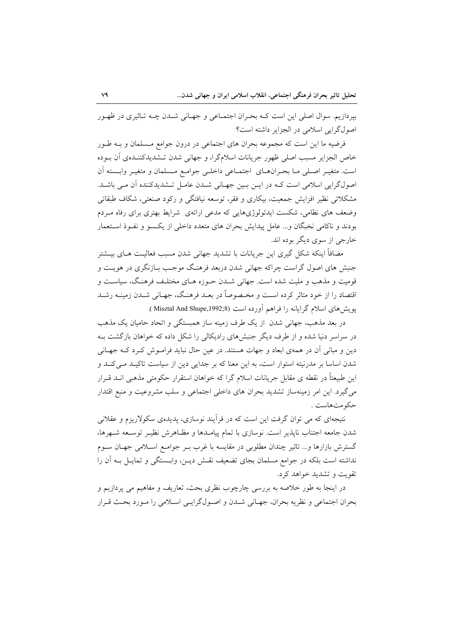بیردازیم. سوال اصلی این است کـه بحـران اجتمـاعی و جهـانی شـدن چـه تـاثیری در ظهـور اصول گرایی اسلامی در الجزایر داشته است؟

فرضیه ما این است که مجموعه بحران های اجتماعی در درون جوامع مـسلمان و بــه طــور خاص الجزایر مسبب اصلی ظهور جریانات اسلامگرا، و جهانی شدن تـشدیدکننـدهی آن بــوده است. متغیـر اصـلی مـا بحـرانهـای اجتمـاعی داخلـی جوامـع مـسلمان و متغیـر وابـسته اَن اصولگرایی اسلامی است کـه در ایـن بـین جهـانی شـدن عامـل تـشدیدکننده آن مـی باشـد. مشکلاتی نظیر افزایش جمعیت، بیکاری و فقر، توسعه نیافتگی و رکود صنعتی، شکاف طبقاتی وضعف های نظامی، شکست ایدئولوژیهایی که مدعی ارائهی شرایط بهتری برای رفاه مـردم بودند و ناکامی نخبگان و... عامل پیدایش بحران های متعدد داخلی از یکسو و نفـوذ اسـتعمار خارجي از سوي ديگر بوده اند.

مضافاً اینکه شکل گیری این جریانات با تشدید جهانی شدن مسبب فعالیـت هــای بیــشتر جنبش های اصول گراست چراکه جهانی شدن دربعد فرهنگ موجب بـازنگری در هویـت و قومیت و مذهب و ملیت شده است. جهانی شـدن حـوزه هـای مختلـف فرهنـگ، سیاسـت و اقتصاد را از خود متاثر کرده است و مخـصوصاً در بعـد فرهنـگ، جهـانی شـدن زمینـه رشـد پویش های اسلام گرایانه را فراهم آورده است (Misztal And Shupe,1992;8 ).

در بعد مذهب، جهانی شدن از یک طرف زمینه ساز همبستگی و اتحاد حامیان یک مذهب در سراسر دنیا شده و از طرف دیگر جنبشهای رادیکالی را شکل داده که خواهان بازگشت بـه دین و مبانی آن در همهی ابعاد و جهات هستند. در عین حال نباید فرامـوش کـرد کـه جهـانی شدن اساسا بر مدرنیته استوار است، به این معنا که بر جدایی دین از سیاست تاکیـد مـیکنـد و این طبیعتاً در نقطه ی مقابل جریانات اسلام گرا که خواهان استقرار حکومتی مذهبی انــد قــرار می گیرد. این امر زمینهساز تشدید بحران های داخلی اجتماعی و سلب مشروعیت و منبع اقتدار حکومتهاست .

نتیجهای که می توان گرفت این است که در فرأیند نوسازی، پدیدهی سکولاریزم و عقلانی شدن جامعه اجتناب ناپذیر است. نوسازی با تمام پیامـدها و مظـاهرش نظیـر توسـعه شـهرها، گسترش بازارها و… تاثیر چندان مطلوبی در مقایسه با غرب بـر جوامـع اسـلامی جهـان سـوم نداشته است بلکه در جوامع مسلمان بجای تضعیف نقش دیـن، وابـستگی و تمایـل بـه آن را تقويت و تشديد خواهد كرد.

در اینجا به طور خلاصه به بررسی چارچوب نظری بحث، تعاریف و مفاهیم می پردازیم و بحران اجتماعي و نظريه بحران، جهـاني شـدن و اصـولگرايـي اسـلامي را مـورد بحـث قـرار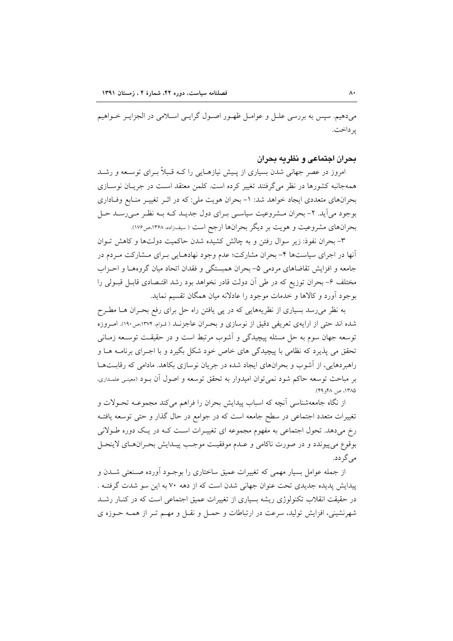میدهیم. سپس به بررسی علـل و عوامـل ظهـور اصـول گرایـی اسـلامی در الجزایـر خـواهیم بر داخت.

بحران اجتماعي و نظريه بحران

امروز در عصر جهانی شدن بسیاری از پیش نیازهبایی را کبه قبیلاً بیرای توسیعه و رشید همهجانبه کشورها در نظر می گرفتند تغییر کرده است. کلمن معتقد است در جریـان نوسـازی بحرانهای متعددی ایجاد خواهد شد: ١- بحران هویت ملی: که در اثـر تغییـر منـابع وفـاداری بوجود میآید. ۲- بحران مـشروعیت سیاسـی بـرای دول جدیـد کـه بـه نظـر مـیرسـد حـل بحرانهای مشروعیت و هویت بر دیگر بحرانها ارجح است ( سفاراده ۱۳۶۸،ص۱۷۶).

٣- بحران نفوذ: زير سوال رفتن و به چالش كشيده شدن حاكميت دولتها و كاهش تـوان أنها در اجرای سیاستها ۴- بحران مشارکت؛ عدم وجود نهادهـایی بـرای مـشارکت مـردم در جامعه و افزایش تقاضاهای مردمی ۵– بحران همبستگی و فقدان اتحاد میان گروههـا و احـزاب مختلف ۶– بحران توزیع که در طی آن دولت قادر نخواهد بود رشد اقتـصادی قابـل قبـولی را بوجود آورد و کالاها و خدمات موجود را عادلانه میان همگان تقسیم نماید.

به نظر می رسد بسیاری از نظریههایی که در پی یافتن راه حل برای رفع بحـران هــا مطـرح شده اند حتی از ارایهی تعریفی دقیق از نوسازی و بحـران عاجزنــد ( قـوام، ۱۳۷۴،ص١٩٠). امـروزه توسعه جهان سوم به حل مسئله پیچیدگی و آشوب مرتبط است و در حقیقت توسـعه زمـانی تحقق می پذیرد که نظامی با پیچیدگی های خاص خود شکل بگیرد و با اجـرای برنامــه هــا و راهبردهایی، از آشوب و بحرانهای ایجاد شده در جریان نوسازی بکاهد. مادامی که رقابتها بر مباحث توسعه حاكم شود نمي توان اميدوار به تحقق توسعه و اصول آن بـود (معينـي علمـداري. ١٣٨٥، ص ٩٨، ٤٩).

از نگاه جامعهشناسی أنچه که اسباب پیدایش بحران را فراهم می کند مجموعــه تحــولات و تغییرات متعدد اجتماعی در سطح جامعه است که در جوامع در حال گذار و حتی توسعه یافتـه رخ میٖدهد. تحول اجتماعی به مفهوم مجموعه ای تغییـرات اسـت کـه در یـک دوره طـولانی بوقوع مي پيوندد و در صورت ناكامي و عـدم موفقيـت موجـب پيـدايش بحـرانهـاي لاينحـل می گر دد.

از جمله عوامل بسیار مهمی که تغییرات عمیق ساختاری را بوجـود آورده صـنعتی شــدن و پیدایش پدیده جدیدی تحت عنوان جهانی شدن است که از دهه ۷۰ به این سو شدت گرفتـه . در حقیقت انقلاب تکنولوژی ریشه بسیاری از تغییرات عمیق اجتماعی است که در کنــار رشــد شهرنشینی، افزایش تولید، سرعت در ارتباطات و حمل و نقـل و مهـم تـر از همـه حـوزه ی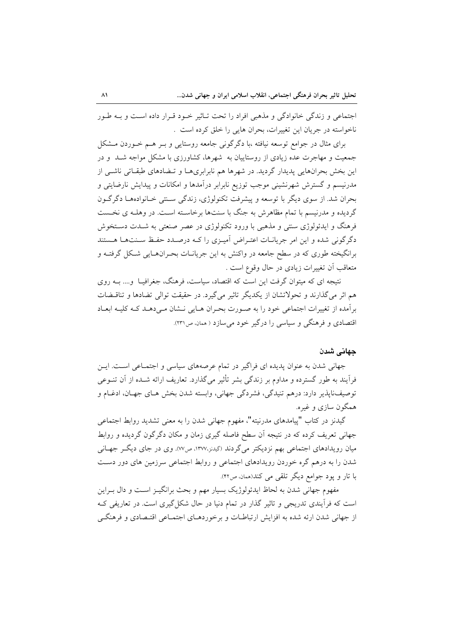اجتماعی و زندگی خانوادگی و مذهبی افراد را تحت تـاثیر خـود قـرار داده اسـت و بـه طـور ناخواسته در جريان اين تغييرات، بحران هايي را خلق كرده است .

برای مثال در جوامع توسعه نیافته ،با دگرگونی جامعه روستایی و بـر هـم خـوردن مـشکل جمعیت و مهاجرت عده زیادی از روستاییان به شهرها، کشاورزی با مشکل مواجه شـد و در این بخش بحرانهایی پدیدار گردید. در شهرها هم نابرابریهـا و تـضادهای طبقـاتی ناشـی از مدرنیسم و گسترش شهرنشینی موجب توزیع نابرابر درآمدها و امکانات و پیدایش نارضایتی و بحران شد. از سوی دیگر با توسعه و پیشرفت تکنولوژی، زندگی سـنتی خـانوادههـا دگرگـون گردیده و مدرنیسم با تمام مظاهرش به جنگ با سنتها برخاسته است. در وهلـه ی نخـست فرهنگ و ایدئولوژی سنتی و مذهبی با ورود تکنولوژی در عصر صنعتی به شــدت دســتخوش دگرگونی شده و این امر جریانـات اعتـراض آمیـزی را کـه درصـدد حفـظ سـنتهـا هـستند برانگیخته طوری که در سطح جامعه در واکنش به این جریانــات بحــرانهــایی شــکل گرفتــه و متعاقب أن تغییرات زیادی در حال وقوع است .

نتیجه ای که میتوان گرفت این است که اقتصاد، سیاست، فرهنگ، جغرافیـا ً و.... بــه روی هم اثر میگذارند و تحولاتشان از یکدیگر تاثیر میگیرد. در حقیقت توالی تضادها و تناقسضات برآمده از تغییرات اجتماعی خود را به صورت بحران هـایی نــشان مـی دهــد کــه کلیــه ابعــاد اقتصادی و فرهنگی و سیاسی را درگیر خود می سازد ( ممان ص٣٢١).

### حهاني شدن

جهانی شدن به عنوان پدیده ای فراگیر در تمام عرصههای سیاسی و اجتمـاعی اسـت. ایـن فرآیند به طور گسترده و مداوم بر زندگی بشر تأثیر میگذارد. تعاریف ارائه شـده از آن تنــوعی توصيف ناپذير دارد: درهم تنيدگي، فشردگي جهاني، وابسته شدن بخش هـاي جهـان، ادغــام و همگون سازي و غيره.

گیدنز در کتاب "پیامدهای مدرنیته"، مفهوم جهانی شدن را به معنی تشدید روابط اجتماعی جهانی تعریف کرده که در نتیجه آن سطح فاصله گیری زمان و مکان دگر گون گردیده و روابط میان رویدادهای اجتماعی بهم نزدیکتر می گردند (گیدنن،۱۳۷۷، ص۷۷). وی در جای دیگ ِ جهـانی شدن را به درهم گره خوردن رویدادهای اجتماعی و روابط اجتماعی سرزمین های دور دست با تار و پود جوامع دیگر تلقی می کند(همان ص۴۲).

مفهوم جهاني شدن به لحاظ ايدئولوژيک بسيار مهم و بحث برانگيـز اسـت و دال بـراين است که فرأیندی تدریجی و تاثیر گذار در تمام دنیا در حال شکل گیری است. در تعاریفی ک از جهانی شدن ارئه شده به افزایش ارتباطـات و برخوردهـای اجتمـاعی اقتـصادی و فرهنگـی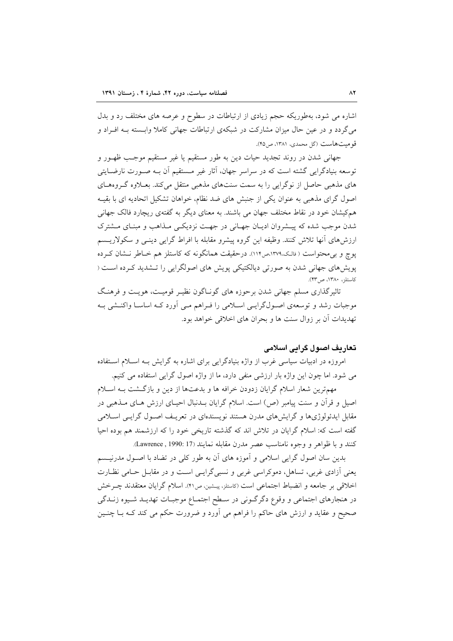اشاره می شود، بهطوریکه حجم زیادی از ارتباطات در سطوح و عرصه های مختلف رد و بدل می گردد و در عین حال میزان مشارکت در شبکهی ارتباطات جهانی کاملا وابسته بـه افـراد و قومیتهاست (گل محمدی، ۱۳۸۱، ص ۴۵).

جهانی شدن در روند تجدید حیات دین به طور مستقیم یا غیر مستقیم موجب ظهـور و توسعه بنیادگرایی گشته است که در سراسر جهان، آثار غیر مـستقیم آن بـه صـورت نارضـایتی های مذهبی حاصل از نوگرایی را به سمت سنتهای مذهبی منتقل می کند. بعـلاوه گـروههـای اصول گرای مذهبی به عنوان یکی از جنبش های ضد نظام، خواهان تشکیل اتحادیه ای با بقیـه هم کیشان خود در نقاط مختلف جهان می باشند. به معنای دیگر به گفتهی ریچارد فالک جهانی شدن موجب شده که پیـشروان ادیـان جهـانی در جهـت نزدیکـی مـذاهب و مبنـای مـشترک ارزشهای آنها تلاش کنند. وظیفه این گروه پیشرو مقابله با افراط گرایی دینـی و سکولاریــسم یوچ و بی محتواست ( فالک،۱۳۷۹هه۱۱۳). درحقیقت همانگونه که کاستلز هم خـاطر نـشان کـرده پویشهای جهانی شدن به صورتی دیالکتیکی پویش های اصولگرایی را تـشدید کـرده اسـت ( كاستلز، ١٣٨٠، ص٣٣).

تاثیرگذاری مسلم جهانی شدن برحوزه های گونـاگون نظیـر قومیـت، هویـت و فرهنـگ موجبات رشد و توسعهی اصـولگرایـی اسـلامی را فـراهم مـی آورد کـه اساسـا واکنـشی بـه تهديدات أن بر زوال سنت ها و بحران هاي اخلاقي خواهد بود.

## تعاریف اصول گرایی اسلامی

امروزه در ادبیات سیاسی غرب از واژه بنیادگرایی برای اشاره به گرایش بـه اســلام اســتفاده می شود. اما چون این واژه بار ارزشی منفی دارد، ما از واژه اصول گرایی استفاده می کنیم.

مهمترین شعار اسلام گرایان زدودن خرافه ها و بدعتها از دین و بازگشت بـه اسـلام اصیل و قرآن و سنت پیامبر (ص) است. اسلام گرایان بــدنبال احیــای ارزش هــای مــذهبی در مقابل ایدئولوژیها و گرایشهای مدرن هستند نویسندهای در تعریـف اصـول گرایـی اسـلامی گفته است که: اسلام گرایان در تلاش اند که گذشته تاریخی خود را که ارزشمند هم بوده احیا كنند و با ظواهر و وجوه نامناسب عصر مدرن مقابله نمايند (Lawrence , 1990: 17).

بدین سان اصول گرایی اسلامی و آموزه های آن به طور کلی در تضاد با اصـول مدرنیـسم یعنی آزادی غربی، تساهل، دموکراسی غربی و نسبی گرایسی است و در مقابـل حـامی نظـارت اخلاقي بر جامعه و انضباط اجتماعي است (كاستلز، پيشين، ص۴۱). اسلام گرايان معتقدند چـرخش در هنجارهاي اجتماعي و وقوع دگرگوني در سطح اجتمـاع موجبـات تهديـد شـيوه زنـدگي صحیح و عقاید و ارزش های حاکم را فراهم می آورد و ضرورت حکم می کند کـه بـا چنـین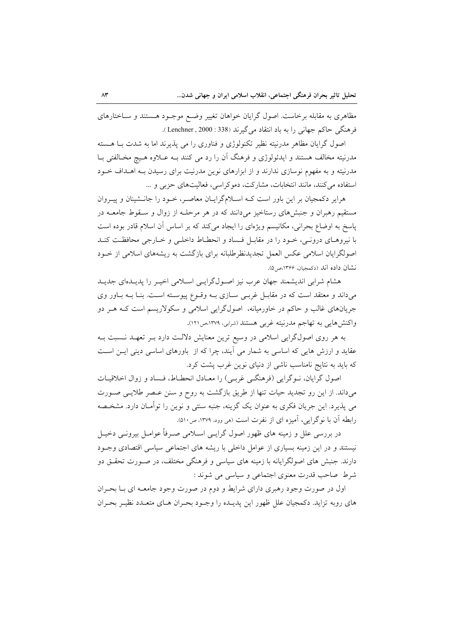مظاهری به مقابله برخاست. اصول گرایان خواهان تغییر وضـع موجـود هــستند و ســاختارهای فرهنگی حاکم جهانی را به باد انتقاد می گیرند (338 : Lenchner , 2000 ).

اصول گرایان مظاهر مدرنیته نظیر تکنولوژی و فناوری را می پذیرند اما به شدت بـا هـسته مدرنیته مخالف هستند و ایدئولوژی و فرهنگ آن را رد می کنند بـه عــلاوه هــیچ مخــالفتی بــا مدرنیته و به مفهوم نوسازی ندارند و از ابزارهای نوین مدرنیت برای رسیدن بـه اهــداف خــود استفاده می کنند، مانند انتخابات، مشارکت، دموکراسی، فعالیتهای حزبی و ...

هرایر دکمجیان بر این باور است کـه اسـلامگرایـان معاصـر، خـود را جانـشینان و پیـروان مستقیم رهبران و جنبشهای رستاخیز میدانند که در هر مرحلـه از زوال و سـقوط جامعــه در پاسخ به اوضاع بحرانی، مکانیسم ویژهای را ایجاد میکند که بر اساس آن اسلام قادر بوده است با نیروهـای درونـی، خـود را در مقابـل فـساد و انحطـاط داخلـی و خـارجی محافظـت کنـد اصولگرایان اسلامی عکس العمل تجدیدنظرطلبانه برای بازگشت به ریشههای اسلامی از خــود نشان داده اند (دكمجيان، ١٣۶۶،ص٥).

هشام شرابی اندیشمند جهان عرب نیز اصول گرایسی اسلامی اخیـر را پدیـدهای جدیـد میداند و معتقد است که در مقابـل غربـی سـازی بـه وقـوع پیوسـته اسـت. بنـا بـه بـاور وی جریانهای غالب و حاکم در خاورمیانه، اصولگرایی اسلامی و سکولاریسم است کـه هـر دو واکنشهایی به تهاجم مدرنیته غربی هستند (شرابی، ۱۳۷۹،ص۱۲۱).

به هر روی اصولگرایی اسلامی در وسیع ترین معنایش دلالت دارد بـر تعهـد نـسبت بـه عقاید و ارزش هایی که اساسی به شمار می آیند، چرا که از باورهای اساسی دینی ایـن اسـت که باید به نتایج نامناسب ناشی از دنیای نوین غرب پشت کرد.

اصول گرایان، نــوگرایی (فرهنگــی غربــی) را معــادل انحطــاط، فــساد و زوال اخلاقیــات میداند. از این رو تجدید حیات تنها از طریق بازگشت به روح و سنن عـصر طلایـی صـورت می پذیرد. این جریان فکری به عنوان یک گزینه، جنبه سنتی و نوین را توأمـان دارد. مشخـصه رابطه آن با نوگرایی، آمیزه ای از نفرت است (هی وود، ۱۳۷۹، ص۱۵۱.

در بررسی علل و زمینه های ظهور اصول گرایــی اســلامی صــرفاً عوامــل بیرونــی دخیــل نیستند و در این زمینه بسیاری از عوامل داخلی با ریشه های اجتماعی سیاسی اقتصادی وجــود دارند. جنبش های اصولگرایانه با زمینه های سیاسی و فرهنگی مختلف، در صـورت تحقـق دو شرط صاحب قدرت معنوي اجتماعي و سياسي مي شوند :

اول در صورت وجود رهبري داراي شرايط و دوم در صورت وجود جامعـه اي بــا بحـران های روبه تزاید. دکمجیان علل ظهور این پدیـده را وجـود بحـران هـای متعـدد نظیـر بحـران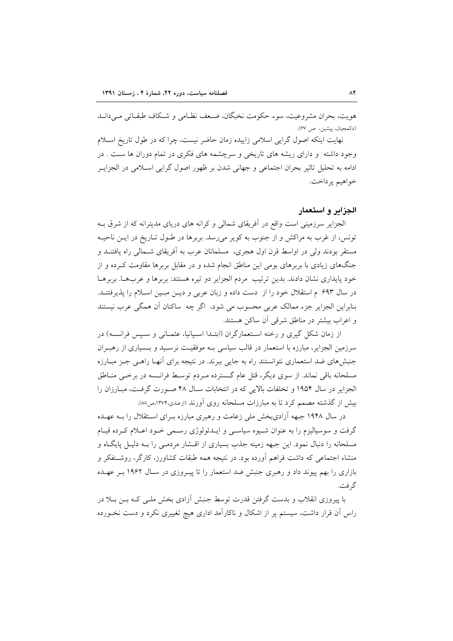هويت، بحران مشروعيت، سوء حكومت نخبگان، ضـعف نظـامي و شـكاف طبقـاتي مـي دانـد (دكمجيان، پيشين، ص ۶۷).

نهایت اینکه اصول گرایی اسلامی زاییده زمان حاضر نیست، چرا که در طول تاریخ اسلام وجود داشته و دارای ریشه های تاریخی و سرچشمه های فکری در تمام دوران ها ست . در ادامه به تحلیل تاثیر بحران اجتماعی و جهانی شدن بر ظهور اصول گرایی اسـلامی در الجزایــر خواهيم پرداخت.

#### الجزاير و استعمار

الجزایر سرزمینی است واقع در آفریقای شمالی و کرانه های دریای مدیترانه که از شرق بـه تونس، از غرب به مراكش و از جنوب به كوير مى رسد. بربرها در طـول تـاريخ در ايـن ناحيــه مستقر بودند ولي در اواسط قرن اول هجري، مسلمانان عرب به آفريقاي شـمالي راه يافتنــد و جنگهای زیادی با بربرهای بومی این مناطق انجام شده و در مقابل بربرها مقاومت کـرده و از خود پايداري نشان دادند. بدين ترتيب مردم الجزاير دو تيره هستند: بربرها و عربهــا. بربرهــا در سال ۶۹۳ م استقلال خود را از دست داده و زبان عربی و دیـن مبـین اسـلام را پذیرفتنـد. بنابراین الجزایر جزء ممالک عربی محسوب می شود، اگر چه ساکنان آن همگی عرب نیستند و اعراب بیشتر در مناطق شرقی آن ساکن هستند.

از زمان شکل گیری و رخنه استعمارگران (ابتـدا اسـپانیا، عثمـانی و سـپس فرانـسه) در سرزمین الجزایر، مبارزه با استعمار در قالب سیاسی بـه موفقیـت نرسـید و بـسیاری از رهبـران جنبشهای ضد استعماری نتوانستند راه به جایی ببرند. در نتیجه برای آنهـا راهـی جـز مبـارزه مسلحانه باقی نماند. از سوی دیگر، قتل عام گسترده مـردم توسـط فرانـسه در برخـی منـاطق الجزایر در سال ۱۹۵۴ و تخلفات بالایی که در انتخابات سـال ۴۸ صـورت گرفـت، مبـارزان را بیش از گذشته مصمم کرد تا به مبارزات مسلحانه روی آورند (ازغندی،۱۳۷۴،ص۸۸).

در سال ۱۹۴۸ جبهه آزادیبخش ملی زعامت و رهبری مبارزه بـرای اسـتقلال را بـه عهـده گرفت و سوسیالیزم را به عنوان شـیوه سیاسـی و ایــدئولوژی رسـمی خـود اعــلام کــرده قیـام مسلحانه را دنبال نمود. این جبهه زمینه جذب بسیاری از اقـشار مردمـی را بــه دلیـل پایگــاه و منشاء اجتماعی که داشت فراهم آورده بود. در نتیجه همه طبقات کشاورز، کارگر، روشــنفکر و بازاری را بهم پیوند داد و رهبری جنبش ضد استعمار را تا پیـروزی در سـال ۱۹۶۲ بـر عهـده گ فت.

با پیروزی انقلاب و بدست گرفتن قدرت توسط جنبش آزادی بخش ملـی کـه بـن بـلا در راس اّن قرار داشت، سیستم پر از اشکال و ناکارآمد اداری هیچ تغییری نکرد و دست نخـورده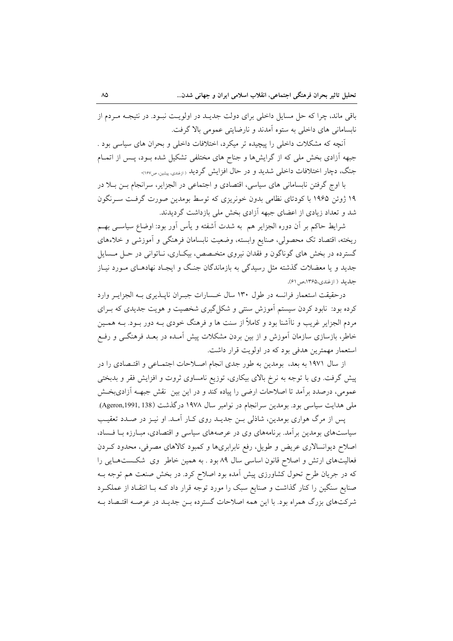باقی ماند، چرا که حل مسایل داخلی برای دولت جدیــد در اولویــت نبــود. در نتیجــه مــردم از نابسامانی های داخلی به ستوه آمدند و نارضایتی عمومی بالا گرفت.

آنچه که مشکلات داخلی را پیچیده تر میکرد، اختلافات داخلی و بحران های سیاسی بود . جبهه آزادی بخش ملی که از گرایشها و جناح های مختلفی تشکیل شده بـود، پـس از اتمـام جنگ، دچار اختلافات داخلی شدید و در حال افزایش گردید <sub>(ان</sub>فند<sub>ی، پشین</sub> <sub>ص۱۶۷</sub>.

با اوج گرفتن نابسامانی های سیاسی، اقتصادی و اجتماعی در الجزایر، سرانجام بـن بـلا در ۱۹ ژوئن ۱۹۶۵ با کودتای نظامی بدون خونریزی که توسط بومدین صورت گرفت سـرنگون شد و تعداد زیادی از اعضای جبهه آزادی بخش ملی بازداشت گردیدند.

شرایط حاکم بر آن دوره الجزایر هم به شدت آشفته و یأس آور بود: اوضاع سیاســی بهــم ریخته، اقتصاد تک محصولی، صنایع وابسته، وضعیت نابسامان فرهنگی و آموزشی و خلاءهای گسترده در بخش های گوناگون و فقدان نیروی متخـصص، بیکـاری، نــاتوانی در حــل مــسایل جدید و یا معضلات گذشته مثل رسیدگی به بازماندگان جنگ و ایجـاد نهادهـای مـورد نیـاز جل يله ( ازغندي،۱۳۶۵،ص ۶۱).

درحقیقت استعمار فرانسه در طول ۱۳۰ سال خسارات جسران ناپلذیری بـه الجزایـر وارد کرده بود: نابود کردن سیستم آموزش سنتی و شکل گیری شخصیت و هویت جدیدی که بـرای مردم الجزایر غریب و ناآشنا بود و کاملاً از سنت ها و فرهنگ خودی بـه دور بــود. بــه همــین خاطر، بازسازی سازمان آموزش و از بین بردن مشکلات پیش آمـده در بعـد فرهنگــی و رفـع استعمار مهمترین هدفی بود که در اولویت قرار داشت.

از سال ۱۹۷۱ به بعد، بومدین به طور جدی انجام اصلاحات اجتمـاعی و اقتـصادی را در پیش گرفت. وی با توجه به نرخ بالای بیکاری، توزیع نامساوی ثروت و افزایش فقر و بدبختی عمومی، درصدد برآمد تا اصلاحات ارضی را پیاده کند و در این بین نقش جبهــه آزادیبخـش ملی هدایت سیاسی بود. بومدین سرانجام در نوامبر سال ۱۹۷۸ درگذشت (Ageron,1991, 138).

پس از مرگ هواری بومدین، شاذلی بـن جدیــد روی کــار آمــد. او نیــز در صــدد تعقیـب سیاستهای بومدین برآمد. برنامههای وی در عرصههای سیاسی و اقتصادی، مبـارزه بـا فـساد، اصلاح دیوانسالاری عریض و طویل، رفع نابرابریها و کمبود کالاهای مصرفی، محدود کـردن فعالیتهای ارتش و اصلاح قانون اساسی سال ۸۹ بود . به همین خاطر وی شکستهایی را که در جریان طرح تحول کشاورزی پیش آمده بود اصلاح کرد. در بخش صنعت هم توجه بـه صنایع سنگین را کنار گذاشت و صنایع سبک را مورد توجه قرار داد کـه بـا انتقـاد از عملکـرد شرکتهای بزرگ همراه بود. با این همه اصلاحات گسترده بـن جدیـد در عرصـه اقتـصاد بـه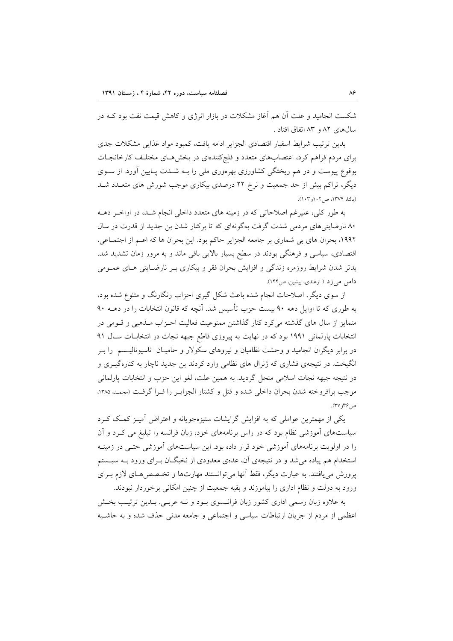شکست انجامید و علت آن هم آغاز مشکلات در بازار انرژی و کاهش قیمت نفت بود کــه در سالهای ۸۲ و ۸۳ اتفاق افتاد .

بدین ترتیب شرایط اسفبار اقتصادی الجزایر ادامه یافت، کمبود مواد غذایی مشکلات جدی برای مردم فراهم کرد، اعتصابهای متعدد و فلجکنندهای در بخشهای مختلف کارخانجات بوقوع پیوست و در هم ریختگی کشاورزی بهرهوری ملی را بـه شــدت پــایین آورد. از ســوی دیگر، تراکم بیش از حد جمعیت و نرخ ۲۲ درصدی بیکاری موجب شورش های متعــدد شــد (مالتا، ۱۳۷۴، ص ۱۰۲و ۱۰۳).

به طور کلی، علیرغم اصلاحاتی که در زمینه های متعدد داخلی انجام شـد، در اواخـر دهــه ۸۰ نارضایتیهای مردمی شدت گرفت بهگونهای که تا برکنار شدن بن جدید از قدرت در سال ١٩٩٢، بحران هاي بي شماري بر جامعه الجزاير حاكم بود. اين بحران ها كه اعـم از اجتمـاعي، اقتصادی، سیاسی و فرهنگی بودند در سطح بسیار بالایی باقی ماند و به مرور زمان تشدید شد. بدتر شدن شرایط روزمره زندگی و افزایش بحران فقر و بیکاری بـر نارضـایتی هـای عمـومی دامن می زد ( ازغندی، پیشین، ص۱۴۴).

از سوی دیگر، اصلاحات انجام شده باعث شکل گیری احزاب رنگارنگ و متنوع شده بود، به طوری که تا اوایل دهه ۹۰ بیست حزب تأسیس شد. آنچه که قانون انتخابات را در دهــه ۹۰ متمایز از سال های گذشته می کرد کنار گذاشتن ممنوعیت فعالیت احـزاب مـذهبی و قـومی در انتخابات پارلمانی ۱۹۹۱ بود که در نهایت به پیروزی قاطع جبهه نجات در انتخابات سال ۹۱ در برابر دیگران انجامید و وحشت نظامیان و نیروهای سکولار و حامیـان ناسیونالیــسم را بــر انگیخت. در نتیجهی فشاری که ژنرال های نظامی وارد کردند بن جدید ناچار به کنارهگیری و در نتيجه جبهه نجات اسلامي منحل گرديد. به همين علت، لغو اين حزب و انتخابات پارلماني موجب برافروخته شدن بحران داخلي شده و قتل و كشتار الجزايـر را فـرا گرفـت (محمـد، ۱۳۸۵، ص ۳۶ با۳۷).

یکی از مهمترین عواملی که به افزایش گرایشات ستیزهجویانه و اعتراض آمیـز کمـک کـرد سیاستهای آموزشی نظام بود که در راس برنامههای خود، زبان فرانسه را تبلیغ می کـرد و آن را در اولویت برنامههای آموزشی خود قرار داده بود. این سیاستهای آموزشی حتـی در زمینــه استخدام هم پیاده می شد و در نتیجهی آن، عدهی معدودی از نخبگـان بـرای ورود بـه سیـستم یرورش می یافتند. به عبارت دیگر، فقط آنها می توانستند مهارتها و تخـصص۵حـای لازم بـرای ورود به دولت و نظام اداری را بیاموزند و بقیه جمعیت از چنین امکانی برخوردار نبودند.

به علاوه زبان رسمی اداری کشور زبان فرانسوی بـود و نـه عربـی. بـدین ترتیـب بخـش اعظمی از مردم از جریان ارتباطات سیاسی و اجتماعی و جامعه مدنی حذف شده و به حاشیه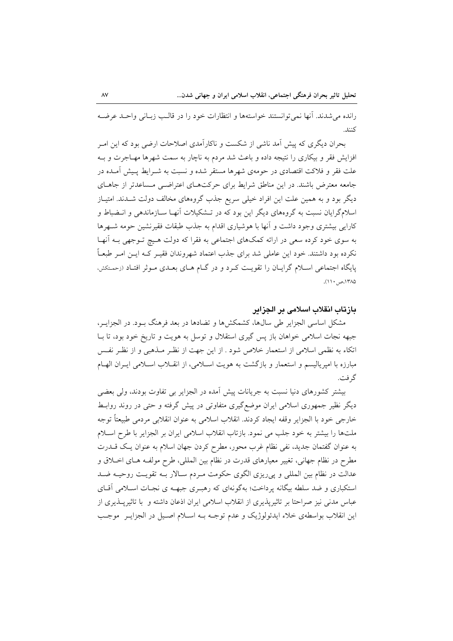رانده مي شدند. أنها نمي توانستند خواستهها و انتظارات خود را در قالب زبـاني واحـد عرضـه كنند.

بحران دیگری که پیش آمد ناشی از شکست و ناکارآمدی اصلاحات ارضی بود که این امـر افزایش فقر و بیکاری را نتیجه داده و باعث شد مردم به ناچار به سمت شهرها مهـاجرت و بـه علت فقر و فلاکت اقتصادی در حومهی شهرها مستقر شده و نسبت به شـرایط پـیش آمـده در جامعه معترض باشند. در این مناطق شرایط برای حرکتهای اعتراضی مساعدتر از جاهای دیگر بود و به همین علت این افراد خیلی سریع جذب گروههای مخالف دولت شـدند. امتیـاز اسلامگرایان نسبت به گروههای دیگر این بود که در تـشکیلات آنهـا ســازماندهی و انــضباط و کارایی بیشتری وجود داشت و آنها با هوشیاری اقدام به جذب طبقات فقیرنشین حومه شـهرها به سوی خود کرده سعی در ارائه کمکهای اجتماعی به فقرا که دولت هـیچ تـوجهی بـه آنهـا نکرده بود داشتند. خود این عاملی شد برای جذب اعتماد شهروندان فقیـر کــه ایــن امـر طبعــاً پایگاه اجتماعی اسلام گرایـان را تقویـت کـرد و در گـام هـای بعـدی مـوثر افتـاد (زحمـتکش، ۱۳۸۵،ص ۱۱۰).

#### بازتاب انقلاب اسلامی بر الجزایر

مشکل اساسی الجزایر طی سالها، کشمکشها و تضادها در بعد فرهنگ بـود. در الجزایـر، جبهه نجات اسلامی خواهان باز پس گیری استقلال و توسل به هویت و تاریخ خود بود، تا بـا اتکاء به نظمی اسلامی از استعمار خلاص شود . از این جهت از نظـر مـذهبی و از نظـر نفـس مبارزه با اميرياليسم و استعمار و بازگشت به هويت اسـلامي، از انقـلاب اسـلامي ايـران الهـام گر فت.

بیشتر کشورهای دنیا نسبت به جریانات پیش آمده در الجزایر بی تفاوت بودند، ولی بعضی دیگر نظیر جمهوری اسلامی ایران موضع گیری متفاوتی در پیش گرفته و حتی در روند روابـط خارجي خود با الجزاير وقفه ايجاد كردند. انقلاب اسلامي به عنوان انقلابي مردمي طبيعتاً توجه ملتها را بيشتر به خود جلب مي نمود. بازتاب انقلاب اسلامي ايران بر الجزاير با طرح اسـلام به عنوان گفتمان جدید، نفی نظام غرب محور، مطرح کردن جهان اسلام به عنوان یک قــدرت مطرح در نظام جهانی، تغییر معیارهای قدرت در نظام بین المللی، طرح مولفـه هــای اخــلاق و عدالت در نظام بين المللي و پي ريزي الگوي حكومت مـردم سـالار بـه تقويـت روحيـه ضـد استکباری و ضد سلطه بیگانه یرداخت؛ بهگونهای که رهبری جبهـه ی نجـات اسـلامی آقـای عباس مدنی نیز صراحتا بر تاثیرپذیری از انقلاب اسلامی ایران اذعان داشته و با تاثیرپــذیری از اين انقلاب بواسطهي خلاء ايدئولوژيک و عدم توجـه بــه اســلام اصــيل در الجزايــر موجــب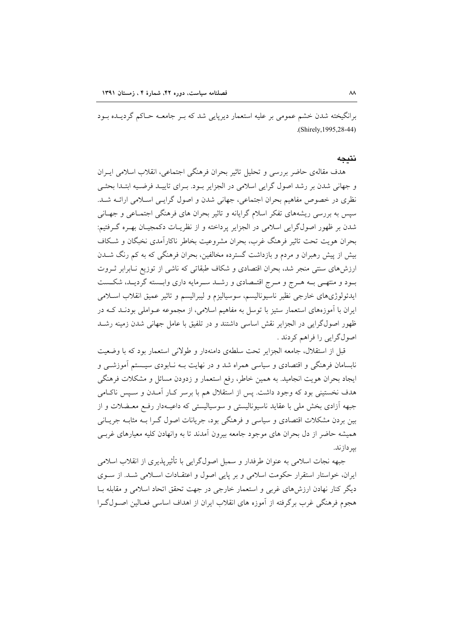برانگیخته شدن خشم عمومی بر علیه استعمار دیرپایی شد که بـر جامعـه حـاکم گردیــده بـود .(Shirely,1995,28-44)

#### **نتيج**ه

هدف مقالهی حاضر بررسی و تحلیل تاثیر بحران فرهنگی اجتماعی، انقلاب اسلامی ایــران و جهانی شدن بر رشد اصول گرایی اسلامی در الجزایر بـود. بـرای تاییــد فرضـیه ابتــدا بحثـی نظری در خصوص مفاهیم بحران اجتماعی، جهانی شدن و اصول گرایـی اسـلامی ارائــه شــد. سپس به بررسی ریشههای تفکر اسلام گرایانه و تاثیر بحران های فرهنگی اجتمـاعی و جهـانی شدن بر ظهور اصولگرایی اسلامی در الجزایر پرداخته و از نظریــات دکمجیــان بهــره گــرفتیم: بحران هويت تحت تاثير فرهنگ غرب، بحران مشروعيت بخاطر ناكارامدى نخبگان و شـكاف بیش از پیش رهبران و مردم و بازداشت گسترده مخالفین، بحران فرهنگی که به کم رنگ شــدن ارزشهای سنتی منجر شد، بحران اقتصادی و شکاف طبقاتی که ناشی از توزیع نـابرابر ثـروت بـود و منتهـى بـه هـرج و مـرج اقتـصادى و رشــد سـرمايه دارى وابــسته گرديــد، شكــست ايدئولوژىهاى خارجي نظير ناسيوناليسم، سوسياليزم و ليبراليسم و تاثير عميق انقلاب اسـلامى ایران با آموزههای استعمار ستیز با توسل به مفاهیم اسلامی، از مجموعه عــواملی بودنــد کــه در ظهور اصولگرايي در الجزاير نقش اساسي داشتند و در تلفيق با عامل جهاني شدن زمينه رشـد اصولگرايي را فراهم كردند .

قبل از استقلال، جامعه الجزاير تحت سلطهى دامنهدار و طولاني استعمار بود كه با وضعيت نابسامان فرهنگی و اقتصادی و سیاسی همراه شد و در نهایت بــه نــابودی سیــستم اموزشــی و ایجاد بحران هویت انجامید. به همین خاطر، رفع استعمار و زدودن مسائل و مشکلات فرهنگی هدف نخستینی بود که وجود داشت. پس از استقلال هم با برسر کـار آمـدن و سـپس ناکـامی جبهه ازادی بخش ملی با عقاید ناسیونالیستی و سوسیالیستی که داعیــهدار رفــع معــضلات و از بین بردن مشکلات اقتصادی و سیاسی و فرهنگی بود، جریانات اصول گــرا بــه مثابــه جریــانی همیشه حاضر از دل بحران های موجود جامعه بیرون آمدند تا به وانهادن کلیه معیارهای غربـی ىبر داز ند.

جبهه نجات اسلامی به عنوان طرفدار و سمبل اصولگرایی با تاثیرپذیری از انقلاب اسلامی ایران، خواستار استقرار حکومت اسلامی و بر پایی اصول و اعتقـادات اسـلامی شـد. از سـوی دیگر کنار نهادن ارزش های غربی و استعمار خارجی در جهت تحقق اتحاد اسلامی و مقابله بـا هجوم فرهنگی غرب برگرفته از اموزه های انقلاب ایران از اهداف اساسی فعـالین اصــولگــرا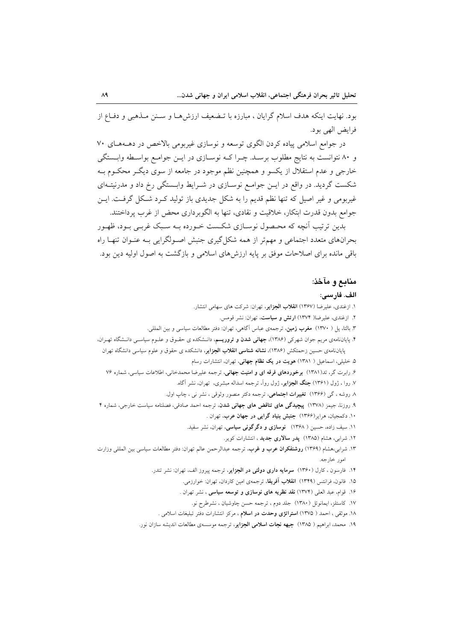بود. نهایت اینکه هدف اسلام گرایان ، مبارزه با تـضعیف ارزش۵ـا و سـنن مـذهبی و دفـاع از فرايض الهي بود.

در جوامع اسلامی پیاده کردن الگوی توسعه و نوسازی غیربومی بالاخص در دهـههـای ۷۰ و ۸۰ نتوانست به نتایج مطلوب برسـد. چـرا کـه نوسـازی در ایــن جوامــع بواسـطه وابــستگی خارجي و عدم استقلال از يکسو و همچنين نظم موجود در جامعه از سوي ديگ محکـوم بـه شکست گردید. در واقع در ایـن جوامـع نوسـازی در شـرایط وابـستگی رخ داد و مدرنیتـهای غیربومی و غیر اصیل که تنها نظم قدیم را به شکل جدیدی باز تولید کـرد شـکل گرفـت. ایــن جوامع بدون قدرت ابتكار، خلاقيت و نقادي، تنها به الگوبر داري محض از غرب پر داختند.

بدین ترتیب آنچه که محـصول نوسـازی شکـست خـورده بــه سـبک غربــی بــود، ظهــور بحرانهای متعدد اجتماعی و مهمتر از همه شکل گیری جنبش اصـولگرایی بـه عنـوان تنهـا راه باقی مانده برای اصلاحات موفق بر پایه ارزش های اسلامی و بازگشت به اصول اولیه دین بود.

#### منابع و مآخذ:

#### الف. فارسى:

۱. ازغندی، علیرضا (۱۳۶۷) ا**نقلاب الجزایر**، تهران: شرکت های سهامی انتشار.

- ۲. ازغندی، علیرضا( ۱۳۷۴) ا**رتش و سیاست**، تهران: نشر قومس.
- ۳. بالتا، پل ( ۱۳۷۰) مغرب زمین، ترجمهی عباس آگاهی، تهران: دفتر مطالعات سیاسی و بین المللی.

۴. پایاننامهی مریم جوان شهرکی (۱۳۸۶)، **جهانی شدن و تروریسم**، دانـشکده ی حقـوق و علـوم سیاسـی دانـشگاه تهـران، پایاننامهی حسین زحمتکش (۱۳۸۶)، **نشانه شناسی انقلاب الجزایر**، دانشکده ی حقوق و علوم سیاسی دانشگاه تهران

۵. خلیلی، اسماعیل ( ۱۳۸۱) هویت در یک نظام جهانی، تهران، انتشارات رسام

۶. رابرت گر، تد(۱۳۸۱) **برخوردهای فرقه ای و امنیت جهانی**، ترجمه علیرضا محمدخانی، اطلاعات سیاسی، شماره ۷۶ ۷. روا ، ژول (۱۳۶۱) **جنگ الجزایر**، ژول رواً، ترجمه اسداله مبشری، تهران، نشر آگاه.

۸ روشه ، گ<sub>ی</sub> (۱۳۶۶) **تغییرات اجتماعی**، ترجمه دکتر منصور وثوقی ، نشر نی ، چاپ اول.

- ۹. روزنا، جیمز (۱۳۷۸) **بیچیدگی های تناقض های جهانی شدن**، ترجمه احمد صادقی، فصلنامه سیاست خارجی، شماره ۴
	- ۱۰. دکمجیان، هرایر(۱۳۶۶) جنبش بنیاد گرایی در جهان عرب، تهران .
	- ۱۱. سیف زاده، حسین ( ۱۳۶۸) **نوسازی و دگرگونی سیاسی**، تهران، نشر سفید.
		- ۱۲. شرابی، هشام (۱۳۸۵) **یدر سالاری جدید** ، انتشارات کویر.
- ۱۳. شرابی،هشام (۱۳۶۹) **روشنفکران عرب و غرب**، ترجمه عبدالرحمن عالم تهران: دفتر مطالعات سیاسی بین المللی وزارت امور خارجه.
	- ۱۴. فارسون ، کارل (۱۳۶۰) **سرمایه داری دولتی در الجزایر**، ترجمه پیروز الف، تهران: نشر تندر.
		- ۱۵. فانون، فرانتس (۱۳۴۹) ا**نقلاب آفریقا**، ترجمهی امین کاردان، تهران: خوارزمی.
		- ۱۶. قوام، عبد العلي (۱۳۷۴) نقد نظريه هاى نوسازى و توسعه سياسى ، نشر تهران .
			- ١٧. كاستلز، ايمانوئل (١٣٨٠) جلد دوم ، ترجمه حسن چاوشيان ، نشرطرح نو.
		- ١٨. موثقى ، احمد ( ١٣٧۵) ا**ستراتزى وحدت در اسلام** ، مركز انتشارات دفتر تبليغات اسلامى .
	- ۱۹. محمد، ابراهیم ( ۱۳۸۵) **جبهه نجات اسلامی الجزایر**، ترجمه موسسهی مطالعات اندیشه سازان نور.